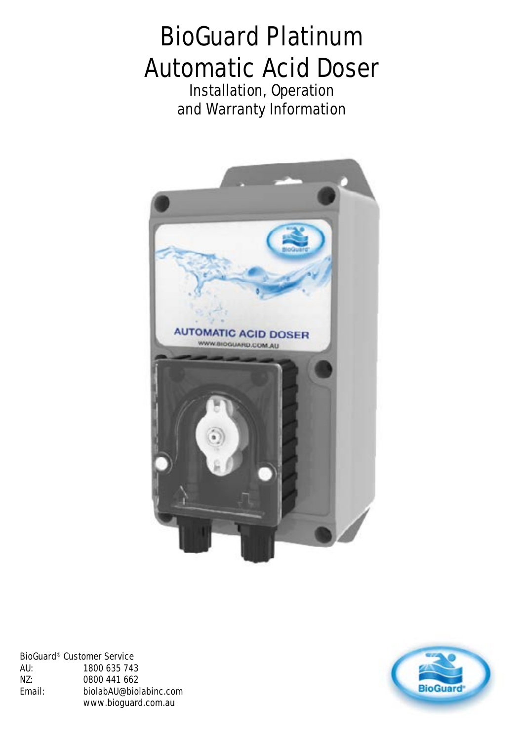# **BioGuard Platinum Automatic Acid Doser**

**Installation, Operation and Warranty Information**



**BioGuard® Customer Service AU: 1800 635 743 NZ: 0800 441 662 Email: biolabAU@biolabinc.com www.bioguard.com.au**

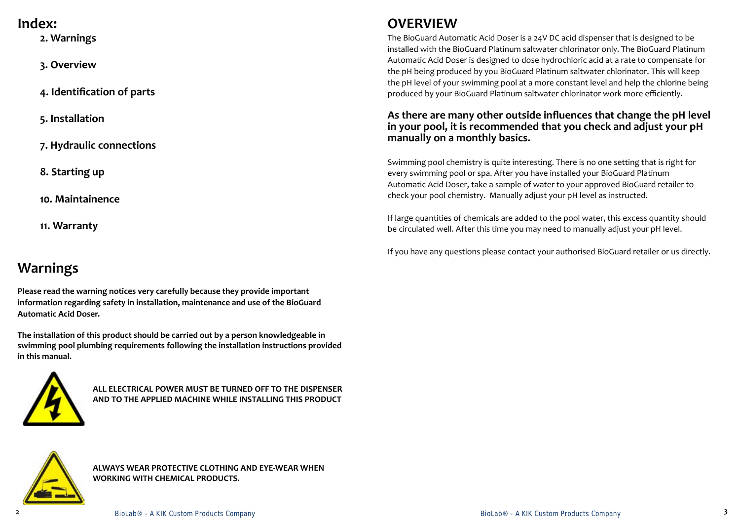# **Warnings**

**Please read the warning notices very carefully because they provide important information regarding safety in installation, maintenance and use of the BioGuard Automatic Acid Doser.**

**The installation of this product should be carried out by a person knowledgeable in swimming pool plumbing requirements following the installation instructions provided in this manual.**



**ALL ELECTRICAL POWER MUST BE TURNED OFF TO THE DISPENSER AND TO THE APPLIED MACHINE WHILE INSTALLING THIS PRODUCT**



# **OVERVIEW**

The BioGuard Automatic Acid Doser is a 24V DC acid dispenser that is designed to be installed with the BioGuard Platinum saltwater chlorinator only. The BioGuard Platinum Automatic Acid Doser is designed to dose hydrochloric acid at a rate to compensate for the pH being produced by you BioGuard Platinum saltwater chlorinator. This will keep the pH level of your swimming pool at a more constant level and help the chlorine being produced by your BioGuard Platinum saltwater chlorinator work more efficiently.

#### **As there are many other outside influences that change the pH level in your pool, it is recommended that you check and adjust your pH manually on a monthly basics.**

**ALWAYS WEAR PROTECTIVE CLOTHING AND EYE-WEAR WHEN WORKING WITH CHEMICAL PRODUCTS.** 

Swimming pool chemistry is quite interesting. There is no one setting that is right for every swimming pool or spa. After you have installed your BioGuard Platinum Automatic Acid Doser, take a sample of water to your approved BioGuard retailer to check your pool chemistry. Manually adjust your pH level as instructed.

If large quantities of chemicals are added to the pool water, this excess quantity should be circulated well. After this time you may need to manually adjust your pH level.

If you have any questions please contact your authorised BioGuard retailer or us directly.

## **Index:**

**2. Warnings**

**3. Overview**

**4. Identification of parts**

**5. Installation**

**7. Hydraulic connections**

**8. Starting up**

**10. Maintainence**

**11. Warranty**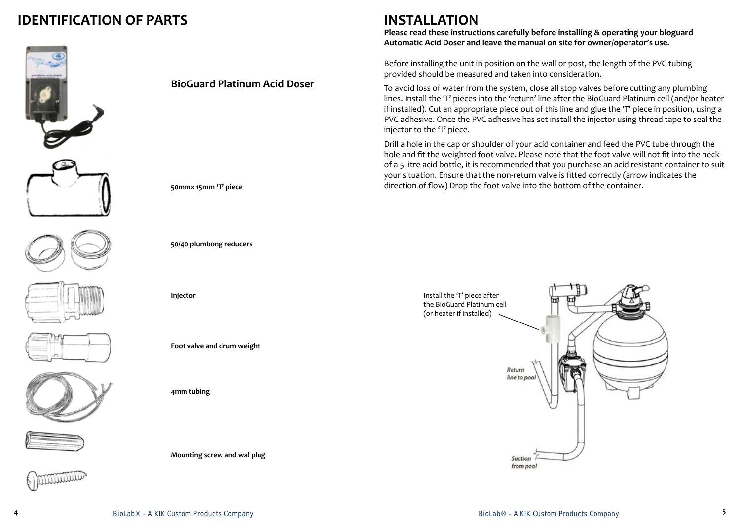# **IDENTIFICATION OF PARTS**

















#### **BioGuard Platinum Acid Doser**

**50mmx 15mm 'T' piece**

**50/40 plumbong reducers**

**Injector**

**Foot valve and drum weight**

**4mm tubing**

**Mounting screw and wal plug**

**INSTALLATION**

**Please read these instructions carefully before installing & operating your bioguard Automatic Acid Doser and leave the manual on site for owner/operator's use.**

Before installing the unit in position on the wall or post, the length of the PVC tubing provided should be measured and taken into consideration.

To avoid loss of water from the system, close all stop valves before cutting any plumbing lines. Install the 'T' pieces into the 'return' line after the BioGuard Platinum cell (and/or heater if installed). Cut an appropriate piece out of this line and glue the 'T' piece in position, using a PVC adhesive. Once the PVC adhesive has set install the injector using thread tape to seal the injector to the 'T' piece.

Drill a hole in the cap or shoulder of your acid container and feed the PVC tube through the hole and fit the weighted foot valve. Please note that the foot valve will not fit into the neck of a 5 litre acid bottle, it is recommended that you purchase an acid resistant container to suit your situation. Ensure that the non-return valve is fitted correctly (arrow indicates the direction of flow) Drop the foot valve into the bottom of the container.

> Install the 'T' piece after the BioGuard Platinum cell (or heater if installed)

> > Return line to poo

> > > Suction from pool

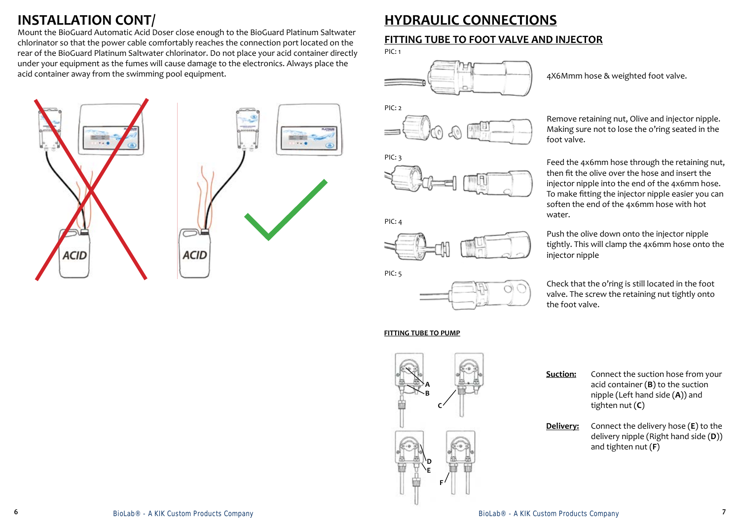# **INSTALLATION CONT/**

Mount the BioGuard Automatic Acid Doser close enough to the BioGuard Platinum Saltwater chlorinator so that the power cable comfortably reaches the connection port located on the rear of the BioGuard Platinum Saltwater chlorinator. Do not place your acid container directly under your equipment as the fumes will cause damage to the electronics. Always place the acid container away from the swimming pool equipment.

# $-1.8$  $x = 0$ **ACID ACID**

### **FITTING TUBE TO FOOT VALVE AND INJECTOR**



PIC: 5



PIC: 4



4X6Mmm hose & weighted foot valve.

Remove retaining nut, Olive and injector nipple. Making sure not to lose the o'ring seated in the foot valve.

Feed the 4x6mm hose through the retaining nut, then fit the olive over the hose and insert the injector nipple into the end of the 4x6mm hose. To make fitting the injector nipple easier you can soften the end of the 4x6mm hose with hot water.

Push the olive down onto the injector nipple tightly. This will clamp the 4x6mm hose onto the injector nipple

Check that the o'ring is still located in the foot valve. The screw the retaining nut tightly onto the foot valve.



| <b>Suction:</b> | Connect the suction hose from your<br>acid container $(B)$ to the suction<br>nipple (Left hand side $(A)$ ) and<br>tighten nut $(C)$ |
|-----------------|--------------------------------------------------------------------------------------------------------------------------------------|
|                 | $D$ eliyerye Cannact the delivery base $(\mathbf{E})$ to the                                                                         |

**Delivery:** Connect the delivery hose (**E**) to the delivery nipple (Right hand side (**D**)) and tighten nut (**F**)

#### **FITTING TUBE TO PUMP**

# **HYDRAULIC CONNECTIONS**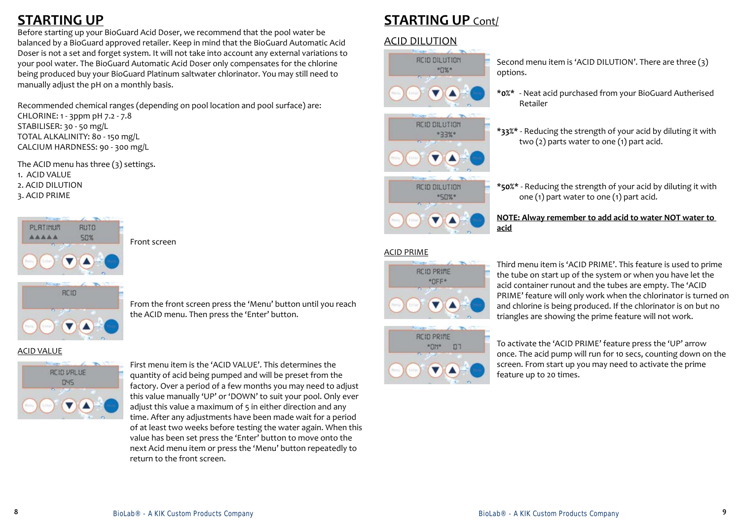# **STARTING UP**

Before starting up your BioGuard Acid Doser, we recommend that the pool water be balanced by a BioGuard approved retailer. Keep in mind that the BioGuard Automatic Acid Doser is not a set and forget system. It will not take into account any external variations to your pool water. The BioGuard Automatic Acid Doser only compensates for the chlorine being produced buy your BioGuard Platinum saltwater chlorinator. You may still need to manually adjust the pH on a monthly basis.

Recommended chemical ranges (depending on pool location and pool surface) are: CHLORINE: 1 - 3ppm pH 7.2 - 7.8 STABILISER: 30 - 50 mg/L TOTAL ALKALINITY: 80 - 150 mg/L CALCIUM HARDNESS: 90 - 300 mg/L

> From the front screen press the 'Menu' button until you reach the ACID menu. Then press the 'Enter' button.

Front screen

First menu item is the 'ACID VALUE'. This determines the quantity of acid being pumped and will be preset from the factory. Over a period of a few months you may need to adjust this value manually 'UP' or 'DOWN' to suit your pool. Only ever adjust this value a maximum of 5 in either direction and any time. After any adjustments have been made wait for a period of at least two weeks before testing the water again. When this value has been set press the 'Enter' button to move onto the next Acid menu item or press the 'Menu' button repeatedly to return to the front screen.

# **STARTING UP Cont/**

The ACID menu has three (3) settings. 1. ACID VALUE 2. ACID DILUTION 3. ACID PRIME



ACID VALUE



To activate the 'ACID PRIME' feature press the 'UP' arrow once. The acid pump will run for 10 secs, counting down on the screen. From start up you may need to activate the prime feature up to 20 times.

Third menu item is 'ACID PRIME'. This feature is used to prime the tube on start up of the system or when you have let the acid container runout and the tubes are empty. The 'ACID PRIME' feature will only work when the chlorinator is turned on and chlorine is being produced. If the chlorinator is on but no triangles are showing the prime feature will not work.

#### Second menu item is 'ACID DILUTION'. There are three (3)

options.

#### **\*0%\*** - Neat acid purchased from your BioGuard Autherised

Retailer

**\*33%\*** - Reducing the strength of your acid by diluting it with two (2) parts water to one (1) part acid.

**\*50%\*** - Reducing the strength of your acid by diluting it with one (1) part water to one (1) part acid.

#### **NOTE: Alway remember to add acid to water NOT water to**

**acid**

#### ACID DILUTION



#### ACID PRIME